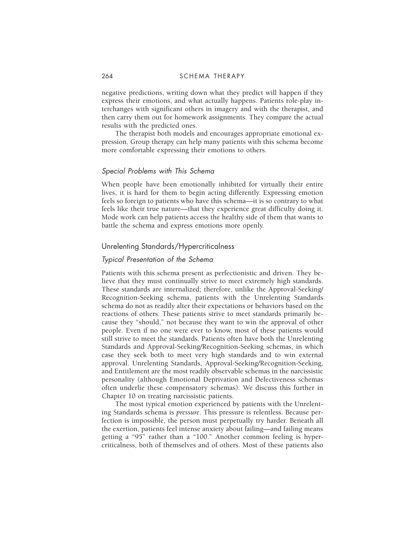negative predictions, writing down what they predict will happen if they express their emotions, and what actually happens. Patients role-play interchanges with significant others in imagery and with the therapist, and then carry them out for homework assignments. They compare the actual results with the predicted ones.

The therapist both models and encourages appropriate emotional expression. Group therapy can help many patients with this schema become more comfortable expressing their emotions to others.

## Special Problems with This Schema

When people have been emotionally inhibited for virtually their entire lives, it is hard for them to begin acting differently. Expressing emotion feels so foreign to patients who have this schema—it is so contrary to what feels like their true nature—that they experience great difficulty doing it. Mode work can help patients access the healthy side of them that wants to battle the schema and express emotions more openly.

## Unrelenting Standards/Hypercriticalness

## Typical Presentation of the Schema

Patients with this schema present as perfectionistic and driven. They believe that they must continually strive to meet extremely high standards. These standards are internalized; therefore, unlike the Approval-Seeking/ Recognition-Seeking schema, patients with the Unrelenting Standards schema do not as readily alter their expectations or behaviors based on the reactions of others. These patients strive to meet standards primarily because they "should," not because they want to win the approval of other people. Even if no one were ever to know, most of these patients would still strive to meet the standards. Patients often have both the Unrelenting Standards and Approval-Seeking/Recognition-Seeking schemas, in which case they seek both to meet very high standards and to win external approval. Unrelenting Standards, Approval-Seeking/Recognition-Seeking, and Entitlement are the most readily observable schemas in the narcissistic personality (although Emotional Deprivation and Defectiveness schemas often underlie these compensatory schemas). We discuss this further in Chapter 10 on treating narcissistic patients.

The most typical emotion experienced by patients with the Unrelenting Standards schema is *pressure*. This pressure is relentless. Because perfection is impossible, the person must perpetually try harder. Beneath all the exertion, patients feel intense anxiety about failing—and failing means getting a "95" rather than a "100." Another common feeling is hypercriticalness, both of themselves and of others. Most of these patients also